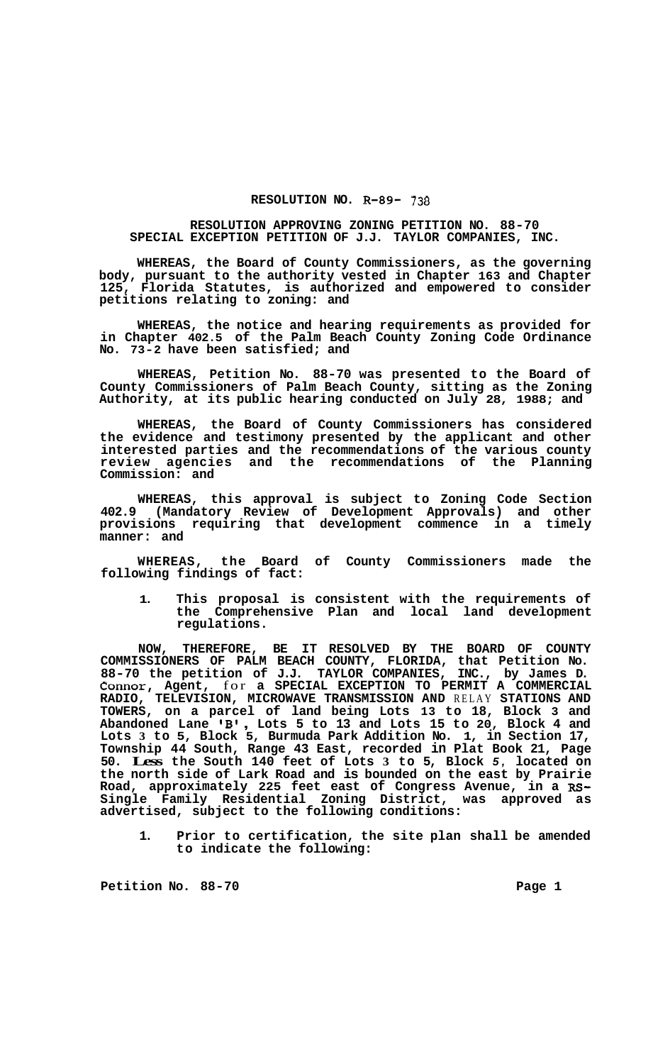## **RESOLUTION NO. R-89- 738**

## **RESOLUTION APPROVING ZONING PETITION NO. 88-70 SPECIAL EXCEPTION PETITION OF J.J. TAYLOR COMPANIES, INC.**

**WHEREAS, the Board of County Commissioners, as the governing body, pursuant to the authority vested in Chapter 163 and Chapter 125, Florida Statutes, is authorized and empowered to consider petitions relating to zoning: and** 

**WHEREAS, the notice and hearing requirements as provided for in Chapter 402.5 of the Palm Beach County Zoning Code Ordinance No. 73-2 have been satisfied; and** 

**WHEREAS, Petition No. 88-70 was presented to the Board of County Commissioners of Palm Beach County, sitting as the Zoning Authority, at its public hearing conducted on July 28, 1988; and** 

**WHEREAS, the Board of County Commissioners has considered the evidence and testimony presented by the applicant and other interested parties and the recommendations of the various county review agencies and the recommendations of the Planning Commission: and** 

**WHEREAS, this approval is subject to Zoning Code Section 402.9 (Mandatory Review of Development Approvals) and other provisions requiring that development commence in a timely manner: and** 

**WHEREAS, the Board of County Commissioners made the following findings of fact:** 

**1. This proposal is consistent with the requirements of the Comprehensive Plan and local land development regulations.** 

**NOW, THEREFORE, BE IT RESOLVED BY THE BOARD OF COUNTY COMMISSIONERS OF PALM BEACH COUNTY, FLORIDA, that Petition No. 88-70 the petition of J.J. TAYLOR COMPANIES, INC., by James D. Connor, Agent,** for **a SPECIAL EXCEPTION TO PERMIT A COMMERCIAL RADIO, TELEVISION, MICROWAVE TRANSMISSION AND** RELAY **STATIONS AND TOWERS, on a parcel of land being Lots 13 to 18, Block 3 and Abandoned Lane IBr** , **Lots 5 to 13 and Lots 15 to 20, Block 4 and Lots 3 to 5, Block 5, Burmuda Park Addition No. 1, in Section 17, Township 44 South, Range 43 East, recorded in Plat Book 21, Page 50. Less the South 140 feet of Lots 3 to 5, Block** *5,* **located on the north side of Lark Road and is bounded on the east by Prairie Road, approximately 225 feet east of Congress Avenue, in a Rs-Single Family Residential Zoning District, was approved as advertised, subject to the following conditions:** 

**1. Prior to certification, the site plan shall be amended to indicate the following:** 

Petition No. 88-70 **Page 1 Page 1**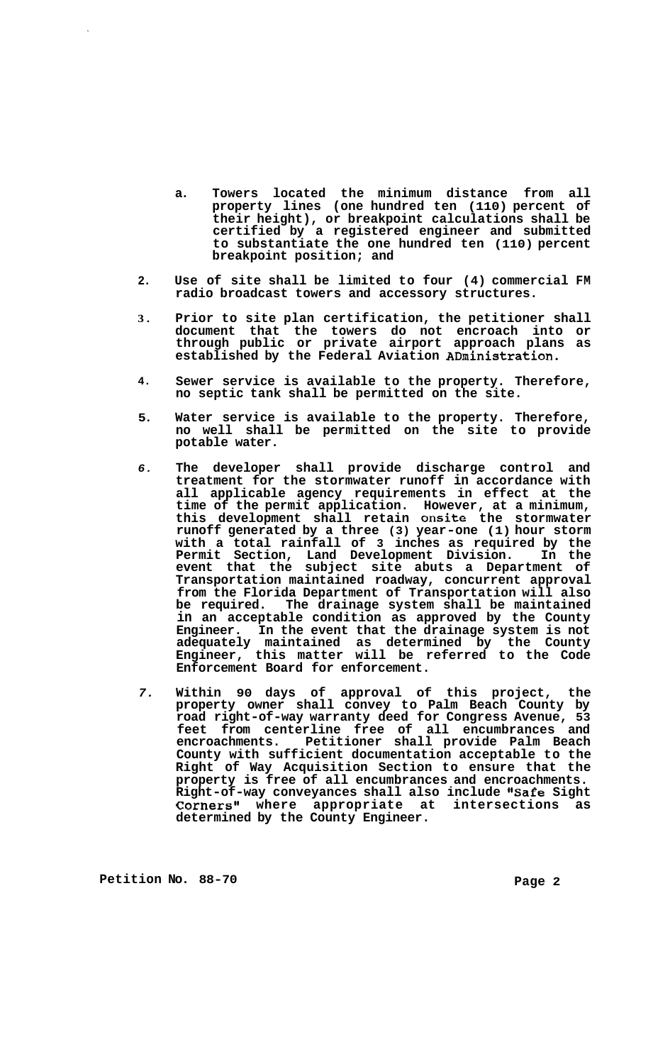- **a. Towers located the minimum distance from all property lines (one hundred ten (110) percent of their height), or breakpoint calculations shall be certified by a registered engineer and submitted to substantiate the one hundred ten (110) percent breakpoint position; and**
- **2. Use of site shall be limited to four (4) commercial FM radio broadcast towers and accessory structures.**
- **3. Prior to site plan certification, the petitioner shall document that the towers do not encroach into or through public or private airport approach plans as established by the Federal Aviation ADministration.**
- **4. Sewer service is available to the property. Therefore, no septic tank shall be permitted on the site.**
- **5. Water service is available to the property. Therefore, no well shall be permitted on the site to provide potable water.**
- *6.*  **The developer shall provide discharge control and treatment for the stormwater runoff in accordance with all applicable agency requirements in effect at the time of the permit application. However, at a minimum, this development shall retain onsite the stormwater runoff generated by a three (3) year-one (1) hour storm with a total rainfall of 3 inches as required by the Permit Section, Land Development Division. In the event that the subject site abuts a Department of Transportation maintained roadway, concurrent approval from the Florida Department of Transportation will also be required. The drainage system shall be maintained in an acceptable condition as approved by the County Engineer. In the event that the drainage system is not adequately maintained as determined by the County Engineer, this matter will be referred to the Code Enforcement Board for enforcement.**
- *7.*  **Within 90 days of approval of this project, the property owner shall convey to Palm Beach County by road right-of-way warranty deed for Congress Avenue, 53 feet from centerline free of all encumbrances and encroachments. Petitioner shall provide Palm Beach County with sufficient documentation acceptable to the Right of Way Acquisition Section to ensure that the property is free of all encumbrances and encroachments. Right-of-way conveyances shall also include "Safe Sight**  Corners" where appropriate at intersections as **determined by the County Engineer.**

Petition No. 88-70 **Page 2 Page 2**